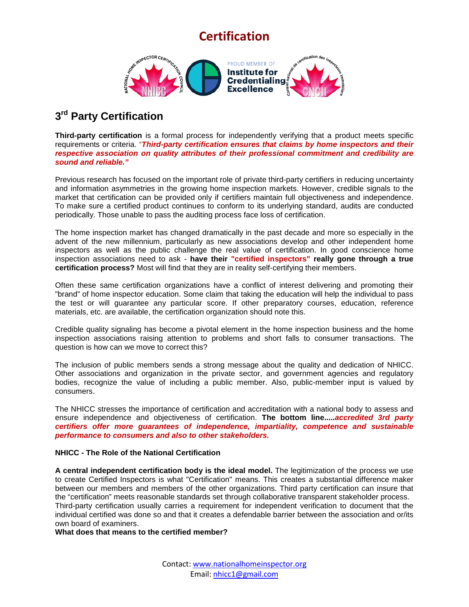# **Certification**



### **3rd Party Certification**

**Third-party certification** is a formal process for independently verifying that a product meets specific requirements or criteria. "*Third-party certification ensures that claims by home inspectors and their respective association on quality attributes of their professional commitment and credibility are sound and reliable."* 

Previous research has focused on the important role of private third-party certifiers in reducing uncertainty and information asymmetries in the growing home inspection markets. However, credible signals to the market that certification can be provided only if certifiers maintain full objectiveness and independence. To make sure a certified product continues to conform to its underlying standard, audits are conducted periodically. Those unable to pass the auditing process face loss of certification.

The home inspection market has changed dramatically in the past decade and more so especially in the advent of the new millennium, particularly as new associations develop and other independent home inspectors as well as the public challenge the real value of certification. In good conscience home inspection associations need to ask - **have their "certified inspectors" really gone through a true certification process?** Most will find that they are in reality self-certifying their members.

Often these same certification organizations have a conflict of interest delivering and promoting their "brand" of home inspector education. Some claim that taking the education will help the individual to pass the test or will guarantee any particular score. If other preparatory courses, education, reference materials, etc. are available, the certification organization should note this.

Credible quality signaling has become a pivotal element in the home inspection business and the home inspection associations raising attention to problems and short falls to consumer transactions. The question is how can we move to correct this?

The inclusion of public members sends a strong message about the quality and dedication of NHICC. Other associations and organization in the private sector, and government agencies and regulatory bodies, recognize the value of including a public member. Also, public-member input is valued by consumers.

The NHICC stresses the importance of certification and accreditation with a national body to assess and ensure independence and objectiveness of certification. **The bottom line.....***accredited 3rd party certifiers offer more guarantees of independence, impartiality, competence and sustainable performance to consumers and also to other stakeholders.* 

### **NHICC - The Role of the National Certification**

**A central independent certification body is the ideal model.** The legitimization of the process we use to create Certified Inspectors is what "Certification" means. This creates a substantial difference maker between our members and members of the other organizations. Third party certification can insure that the "certification" meets reasonable standards set through collaborative transparent stakeholder process. Third-party certification usually carries a requirement for independent verification to document that the individual certified was done so and that it creates a defendable barrier between the association and or/its own board of examiners.

**What does that means to the certified member?**